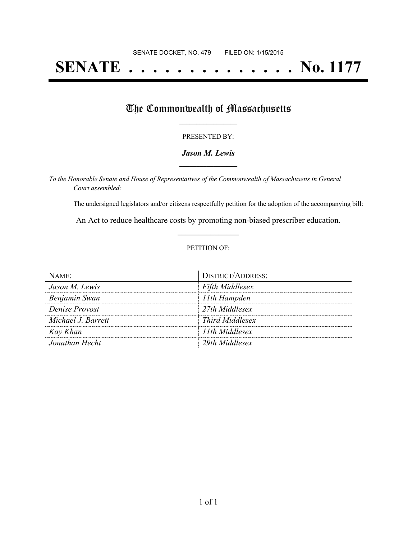# **SENATE . . . . . . . . . . . . . . No. 1177**

### The Commonwealth of Massachusetts

#### PRESENTED BY:

#### *Jason M. Lewis* **\_\_\_\_\_\_\_\_\_\_\_\_\_\_\_\_\_**

*To the Honorable Senate and House of Representatives of the Commonwealth of Massachusetts in General Court assembled:*

The undersigned legislators and/or citizens respectfully petition for the adoption of the accompanying bill:

An Act to reduce healthcare costs by promoting non-biased prescriber education. **\_\_\_\_\_\_\_\_\_\_\_\_\_\_\_**

#### PETITION OF:

| NAME               | <b>DISTRICT/ADDRESS:</b> |
|--------------------|--------------------------|
| Jason M. Lewis     | <b>Fifth Middlesex</b>   |
| Benjamin Swan      | 11th Hampden             |
| Denise Provost     | 27th Middlesex           |
| Michael J. Barrett | Third Middlesex          |
| Kay Khan           | 11th Middlesex           |
| Jonathan Hecht     | 29th Middlesex           |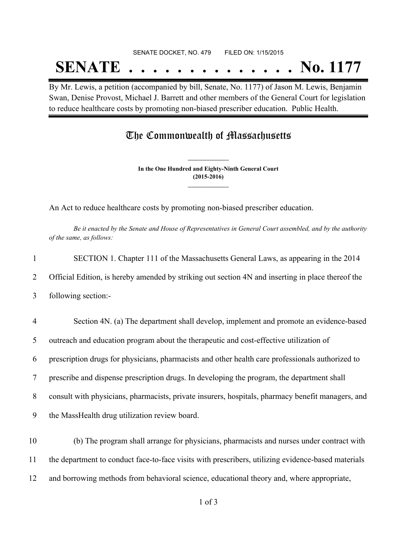# SENATE DOCKET, NO. 479 FILED ON: 1/15/2015 **SENATE . . . . . . . . . . . . . . No. 1177**

By Mr. Lewis, a petition (accompanied by bill, Senate, No. 1177) of Jason M. Lewis, Benjamin Swan, Denise Provost, Michael J. Barrett and other members of the General Court for legislation to reduce healthcare costs by promoting non-biased prescriber education. Public Health.

## The Commonwealth of Massachusetts

**In the One Hundred and Eighty-Ninth General Court (2015-2016) \_\_\_\_\_\_\_\_\_\_\_\_\_\_\_**

**\_\_\_\_\_\_\_\_\_\_\_\_\_\_\_**

An Act to reduce healthcare costs by promoting non-biased prescriber education.

Be it enacted by the Senate and House of Representatives in General Court assembled, and by the authority *of the same, as follows:*

| $\mathbf{1}$   | SECTION 1. Chapter 111 of the Massachusetts General Laws, as appearing in the 2014                |
|----------------|---------------------------------------------------------------------------------------------------|
| $\overline{2}$ | Official Edition, is hereby amended by striking out section 4N and inserting in place thereof the |
| 3              | following section:-                                                                               |
| $\overline{4}$ | Section 4N. (a) The department shall develop, implement and promote an evidence-based             |
| 5              | outreach and education program about the therapeutic and cost-effective utilization of            |
| 6              | prescription drugs for physicians, pharmacists and other health care professionals authorized to  |
| $\tau$         | prescribe and dispense prescription drugs. In developing the program, the department shall        |
| 8              | consult with physicians, pharmacists, private insurers, hospitals, pharmacy benefit managers, and |
| 9              | the MassHealth drug utilization review board.                                                     |
|                |                                                                                                   |

10 (b) The program shall arrange for physicians, pharmacists and nurses under contract with 11 the department to conduct face-to-face visits with prescribers, utilizing evidence-based materials 12 and borrowing methods from behavioral science, educational theory and, where appropriate,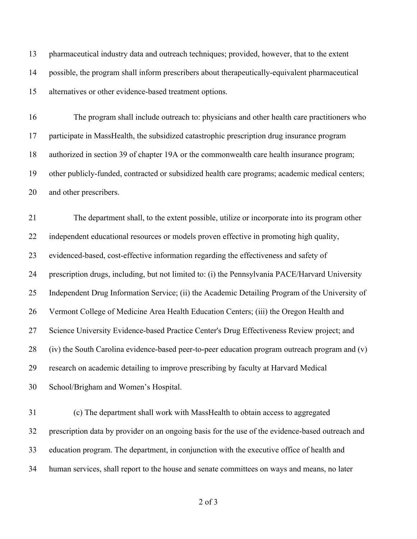pharmaceutical industry data and outreach techniques; provided, however, that to the extent possible, the program shall inform prescribers about therapeutically-equivalent pharmaceutical alternatives or other evidence-based treatment options.

 The program shall include outreach to: physicians and other health care practitioners who participate in MassHealth, the subsidized catastrophic prescription drug insurance program authorized in section 39 of chapter 19A or the commonwealth care health insurance program; other publicly-funded, contracted or subsidized health care programs; academic medical centers; and other prescribers.

 The department shall, to the extent possible, utilize or incorporate into its program other independent educational resources or models proven effective in promoting high quality, evidenced-based, cost-effective information regarding the effectiveness and safety of prescription drugs, including, but not limited to: (i) the Pennsylvania PACE/Harvard University Independent Drug Information Service; (ii) the Academic Detailing Program of the University of Vermont College of Medicine Area Health Education Centers; (iii) the Oregon Health and Science University Evidence-based Practice Center's Drug Effectiveness Review project; and (iv) the South Carolina evidence-based peer-to-peer education program outreach program and (v) research on academic detailing to improve prescribing by faculty at Harvard Medical School/Brigham and Women's Hospital.

 (c) The department shall work with MassHealth to obtain access to aggregated prescription data by provider on an ongoing basis for the use of the evidence-based outreach and education program. The department, in conjunction with the executive office of health and human services, shall report to the house and senate committees on ways and means, no later

of 3